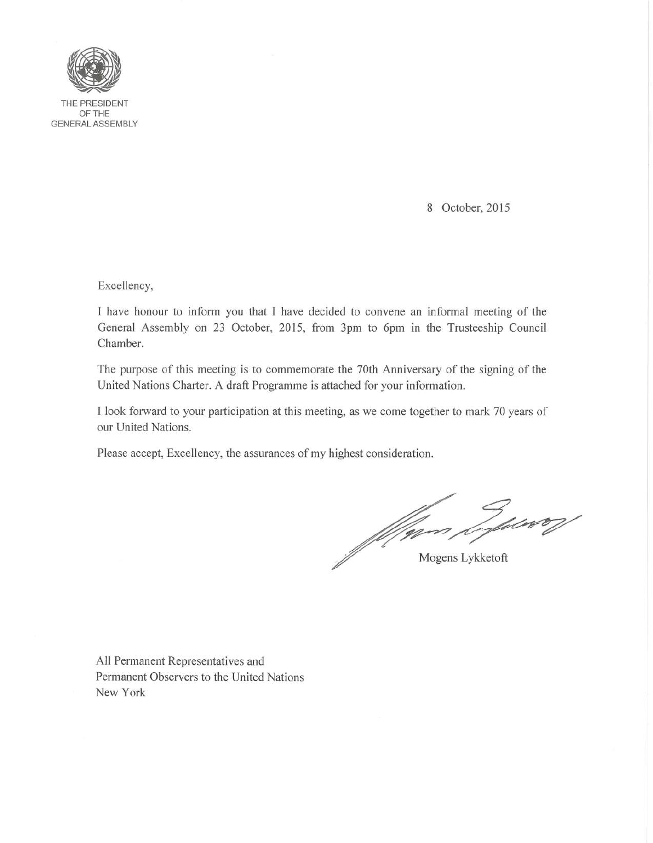

THE PRESIDENT OFTHE GENERAL ASSEMBLY

8 October, 2015

Excellency,

I have honour to inform you that I have decided to convene an informal meeting of the General Assembly on 23 October, 2015, from 3pm to 6pm in the Trusteeship Council Chamber.

The purpose of this meeting is to commemorate the 70th Anniversary of the signing of the United Nations Charter. A draft Programme is attached for your information.

I look forward to your participation at this meeting, as we come together to mark 70 years of our United Nations.

Please accept, Excellency, the assurances of my highest consideration.

Mann Lykker

All Permanent Representatives and Permanent Observers to the United Nations New York